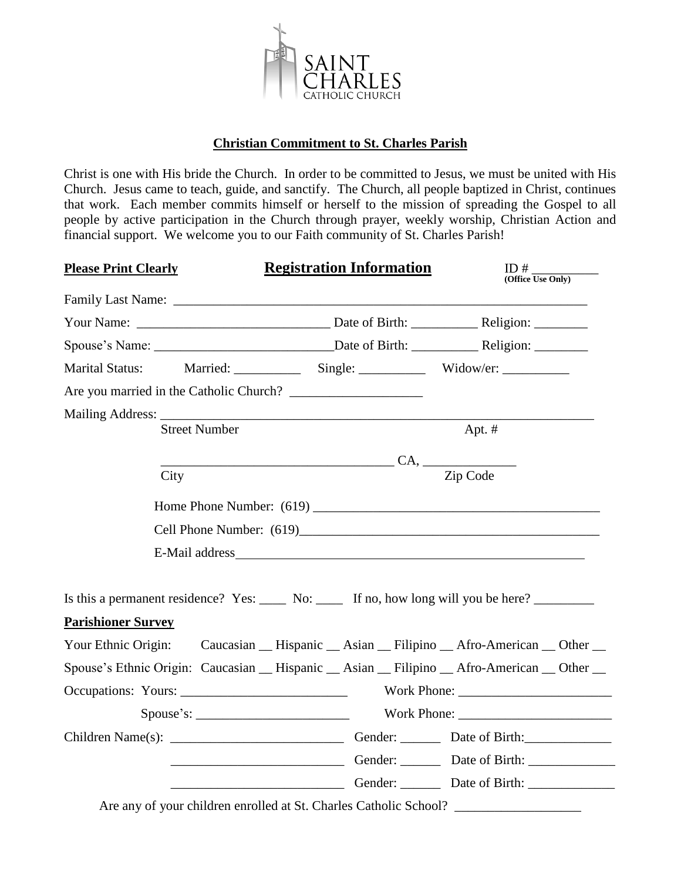

# **Christian Commitment to St. Charles Parish**

Christ is one with His bride the Church. In order to be committed to Jesus, we must be united with His Church. Jesus came to teach, guide, and sanctify. The Church, all people baptized in Christ, continues that work. Each member commits himself or herself to the mission of spreading the Gospel to all people by active participation in the Church through prayer, weekly worship, Christian Action and financial support. We welcome you to our Faith community of St. Charles Parish!

| <b>Please Print Clearly</b> |                      | <b>Registration Information</b>                                                                                                                                                                                                     | ID#<br>(Office Use Only) |  |
|-----------------------------|----------------------|-------------------------------------------------------------------------------------------------------------------------------------------------------------------------------------------------------------------------------------|--------------------------|--|
|                             |                      | Family Last Name: <u>Department</u> of the same of the same of the same of the same of the same of the same of the same of the same of the same of the same of the same of the same of the same of the same of the same of the same |                          |  |
|                             |                      |                                                                                                                                                                                                                                     |                          |  |
|                             |                      | Spouse's Name: __________________________________Date of Birth: _________________Religion: _________                                                                                                                                |                          |  |
| <b>Marital Status:</b>      |                      |                                                                                                                                                                                                                                     |                          |  |
|                             |                      |                                                                                                                                                                                                                                     |                          |  |
|                             |                      |                                                                                                                                                                                                                                     |                          |  |
|                             | <b>Street Number</b> |                                                                                                                                                                                                                                     | Apt. #                   |  |
|                             |                      |                                                                                                                                                                                                                                     |                          |  |
|                             | City                 |                                                                                                                                                                                                                                     | Zip Code                 |  |
|                             |                      |                                                                                                                                                                                                                                     |                          |  |
|                             |                      |                                                                                                                                                                                                                                     |                          |  |
|                             |                      |                                                                                                                                                                                                                                     |                          |  |
|                             |                      |                                                                                                                                                                                                                                     |                          |  |
|                             |                      | Is this a permanent residence? Yes: _____ No: _____ If no, how long will you be here? ________                                                                                                                                      |                          |  |
| <b>Parishioner Survey</b>   |                      |                                                                                                                                                                                                                                     |                          |  |
|                             |                      | Your Ethnic Origin: Caucasian _ Hispanic _ Asian _ Filipino _ Afro-American _ Other _                                                                                                                                               |                          |  |
|                             |                      | Spouse's Ethnic Origin: Caucasian __ Hispanic __ Asian __ Filipino __ Afro-American __ Other __                                                                                                                                     |                          |  |
|                             |                      |                                                                                                                                                                                                                                     |                          |  |
|                             |                      |                                                                                                                                                                                                                                     |                          |  |
|                             |                      |                                                                                                                                                                                                                                     |                          |  |
|                             |                      |                                                                                                                                                                                                                                     |                          |  |
|                             |                      |                                                                                                                                                                                                                                     |                          |  |
|                             |                      | Are any of your children enrolled at St. Charles Catholic School? ______________                                                                                                                                                    |                          |  |